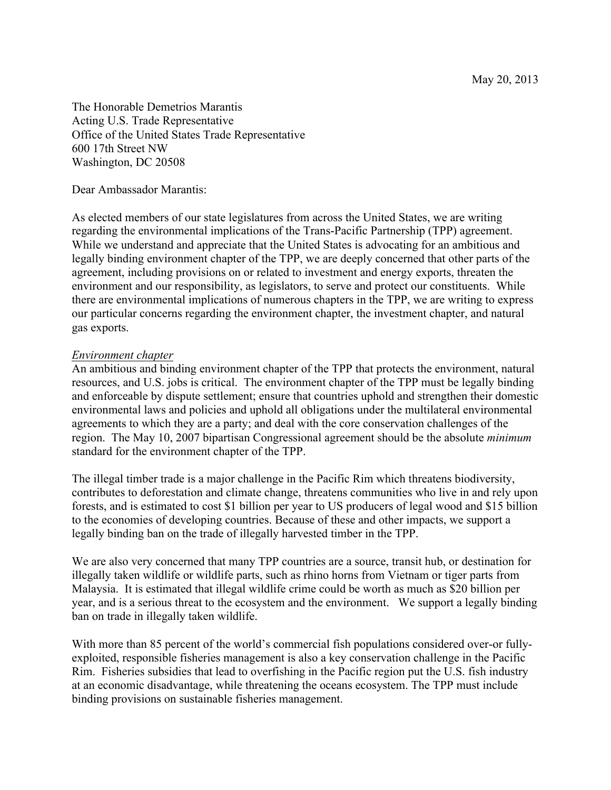May 20, 2013

The Honorable Demetrios Marantis Acting U.S. Trade Representative Office of the United States Trade Representative 600 17th Street NW Washington, DC 20508

Dear Ambassador Marantis:

As elected members of our state legislatures from across the United States, we are writing regarding the environmental implications of the Trans-Pacific Partnership (TPP) agreement. While we understand and appreciate that the United States is advocating for an ambitious and legally binding environment chapter of the TPP, we are deeply concerned that other parts of the agreement, including provisions on or related to investment and energy exports, threaten the environment and our responsibility, as legislators, to serve and protect our constituents. While there are environmental implications of numerous chapters in the TPP, we are writing to express our particular concerns regarding the environment chapter, the investment chapter, and natural gas exports.

# *Environment chapter*

An ambitious and binding environment chapter of the TPP that protects the environment, natural resources, and U.S. jobs is critical. The environment chapter of the TPP must be legally binding and enforceable by dispute settlement; ensure that countries uphold and strengthen their domestic environmental laws and policies and uphold all obligations under the multilateral environmental agreements to which they are a party; and deal with the core conservation challenges of the region. The May 10, 2007 bipartisan Congressional agreement should be the absolute *minimum* standard for the environment chapter of the TPP.

The illegal timber trade is a major challenge in the Pacific Rim which threatens biodiversity, contributes to deforestation and climate change, threatens communities who live in and rely upon forests, and is estimated to cost \$1 billion per year to US producers of legal wood and \$15 billion to the economies of developing countries. Because of these and other impacts, we support a legally binding ban on the trade of illegally harvested timber in the TPP.

We are also very concerned that many TPP countries are a source, transit hub, or destination for illegally taken wildlife or wildlife parts, such as rhino horns from Vietnam or tiger parts from Malaysia. It is estimated that illegal wildlife crime could be worth as much as \$20 billion per year, and is a serious threat to the ecosystem and the environment. We support a legally binding ban on trade in illegally taken wildlife.

With more than 85 percent of the world's commercial fish populations considered over-or fullyexploited, responsible fisheries management is also a key conservation challenge in the Pacific Rim. Fisheries subsidies that lead to overfishing in the Pacific region put the U.S. fish industry at an economic disadvantage, while threatening the oceans ecosystem. The TPP must include binding provisions on sustainable fisheries management.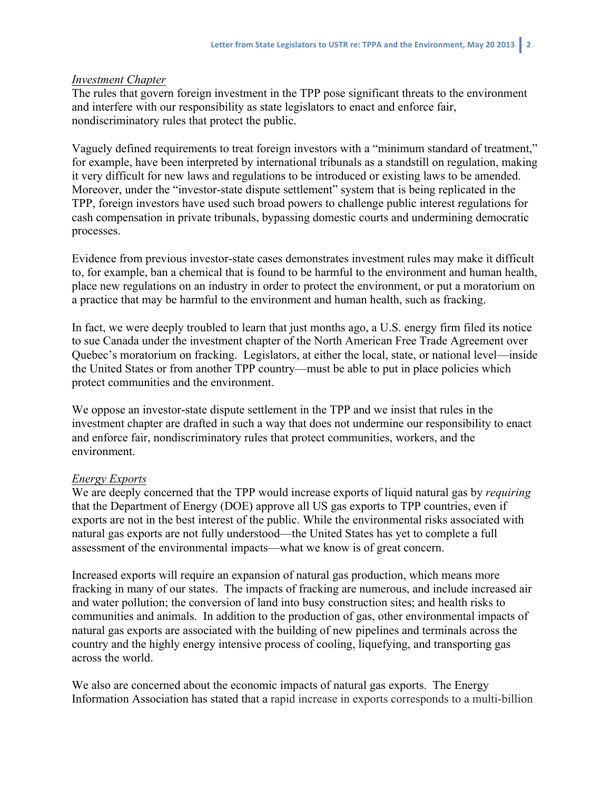# *Investment Chapter*

The rules that govern foreign investment in the TPP pose significant threats to the environment and interfere with our responsibility as state legislators to enact and enforce fair, nondiscriminatory rules that protect the public.

Vaguely defined requirements to treat foreign investors with a "minimum standard of treatment," for example, have been interpreted by international tribunals as a standstill on regulation, making it very difficult for new laws and regulations to be introduced or existing laws to be amended. Moreover, under the "investor-state dispute settlement" system that is being replicated in the TPP, foreign investors have used such broad powers to challenge public interest regulations for cash compensation in private tribunals, bypassing domestic courts and undermining democratic processes.

Evidence from previous investor-state cases demonstrates investment rules may make it difficult to, for example, ban a chemical that is found to be harmful to the environment and human health, place new regulations on an industry in order to protect the environment, or put a moratorium on a practice that may be harmful to the environment and human health, such as fracking.

In fact, we were deeply troubled to learn that just months ago, a U.S. energy firm filed its notice to sue Canada under the investment chapter of the North American Free Trade Agreement over Quebec's moratorium on fracking. Legislators, at either the local, state, or national level—inside the United States or from another TPP country—must be able to put in place policies which protect communities and the environment.

We oppose an investor-state dispute settlement in the TPP and we insist that rules in the investment chapter are drafted in such a way that does not undermine our responsibility to enact and enforce fair, nondiscriminatory rules that protect communities, workers, and the environment.

# *Energy Exports*

We are deeply concerned that the TPP would increase exports of liquid natural gas by *requiring* that the Department of Energy (DOE) approve all US gas exports to TPP countries, even if exports are not in the best interest of the public. While the environmental risks associated with natural gas exports are not fully understood—the United States has yet to complete a full assessment of the environmental impacts—what we know is of great concern.

Increased exports will require an expansion of natural gas production, which means more fracking in many of our states. The impacts of fracking are numerous, and include increased air and water pollution; the conversion of land into busy construction sites; and health risks to communities and animals. In addition to the production of gas, other environmental impacts of natural gas exports are associated with the building of new pipelines and terminals across the country and the highly energy intensive process of cooling, liquefying, and transporting gas across the world.

We also are concerned about the economic impacts of natural gas exports. The Energy Information Association has stated that a rapid increase in exports corresponds to a multi-billion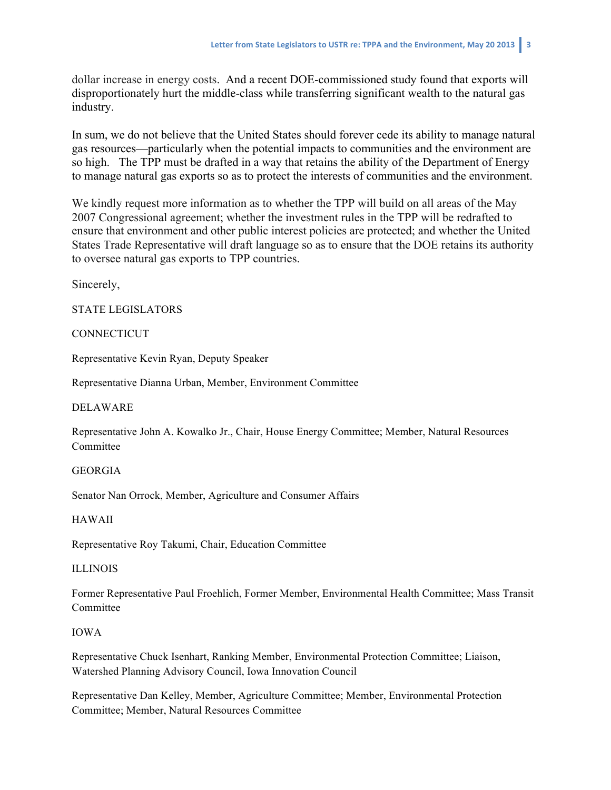dollar increase in energy costs. And a recent DOE-commissioned study found that exports will disproportionately hurt the middle-class while transferring significant wealth to the natural gas industry.

In sum, we do not believe that the United States should forever cede its ability to manage natural gas resources—particularly when the potential impacts to communities and the environment are so high. The TPP must be drafted in a way that retains the ability of the Department of Energy to manage natural gas exports so as to protect the interests of communities and the environment.

We kindly request more information as to whether the TPP will build on all areas of the May 2007 Congressional agreement; whether the investment rules in the TPP will be redrafted to ensure that environment and other public interest policies are protected; and whether the United States Trade Representative will draft language so as to ensure that the DOE retains its authority to oversee natural gas exports to TPP countries.

Sincerely,

STATE LEGISLATORS

# **CONNECTICUT**

Representative Kevin Ryan, Deputy Speaker

Representative Dianna Urban, Member, Environment Committee

# DELAWARE

Representative John A. Kowalko Jr., Chair, House Energy Committee; Member, Natural Resources **Committee** 

# GEORGIA

Senator Nan Orrock, Member, Agriculture and Consumer Affairs

# HAWAII

Representative Roy Takumi, Chair, Education Committee

# ILLINOIS

Former Representative Paul Froehlich, Former Member, Environmental Health Committee; Mass Transit **Committee** 

# IOWA

Representative Chuck Isenhart, Ranking Member, Environmental Protection Committee; Liaison, Watershed Planning Advisory Council, Iowa Innovation Council

Representative Dan Kelley, Member, Agriculture Committee; Member, Environmental Protection Committee; Member, Natural Resources Committee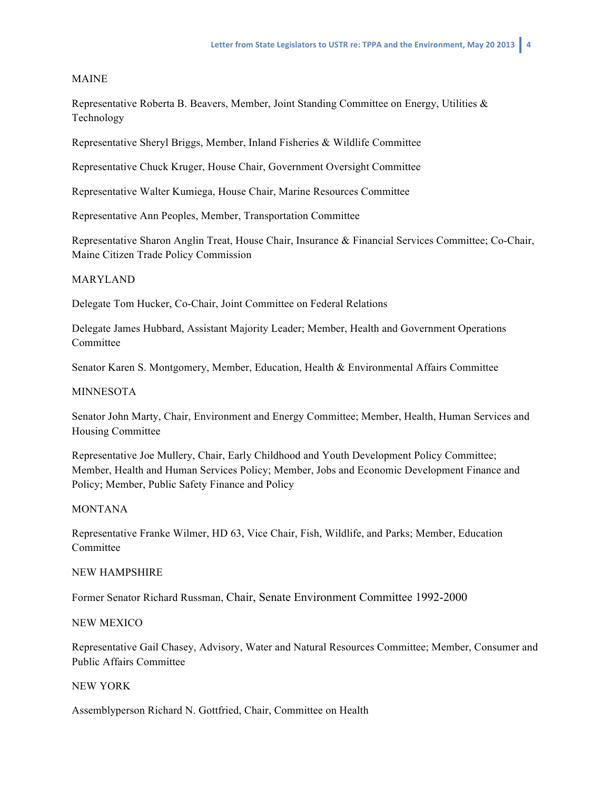### MAINE

Representative Roberta B. Beavers, Member, Joint Standing Committee on Energy, Utilities & Technology

Representative Sheryl Briggs, Member, Inland Fisheries & Wildlife Committee

Representative Chuck Kruger, House Chair, Government Oversight Committee

Representative Walter Kumiega, House Chair, Marine Resources Committee

Representative Ann Peoples, Member, Transportation Committee

Representative Sharon Anglin Treat, House Chair, Insurance & Financial Services Committee; Co-Chair, Maine Citizen Trade Policy Commission

### MARYLAND

Delegate Tom Hucker, Co-Chair, Joint Committee on Federal Relations

Delegate James Hubbard, Assistant Majority Leader; Member, Health and Government Operations **Committee** 

Senator Karen S. Montgomery, Member, Education, Health & Environmental Affairs Committee

### MINNESOTA

Senator John Marty, Chair, Environment and Energy Committee; Member, Health, Human Services and Housing Committee

Representative Joe Mullery, Chair, Early Childhood and Youth Development Policy Committee; Member, Health and Human Services Policy; Member, Jobs and Economic Development Finance and Policy; Member, Public Safety Finance and Policy

#### MONTANA

Representative Franke Wilmer, HD 63, Vice Chair, Fish, Wildlife, and Parks; Member, Education Committee

#### NEW HAMPSHIRE

Former Senator Richard Russman, Chair, Senate Environment Committee 1992-2000

#### NEW MEXICO

Representative Gail Chasey, Advisory, Water and Natural Resources Committee; Member, Consumer and Public Affairs Committee

### NEW YORK

Assemblyperson Richard N. Gottfried, Chair, Committee on Health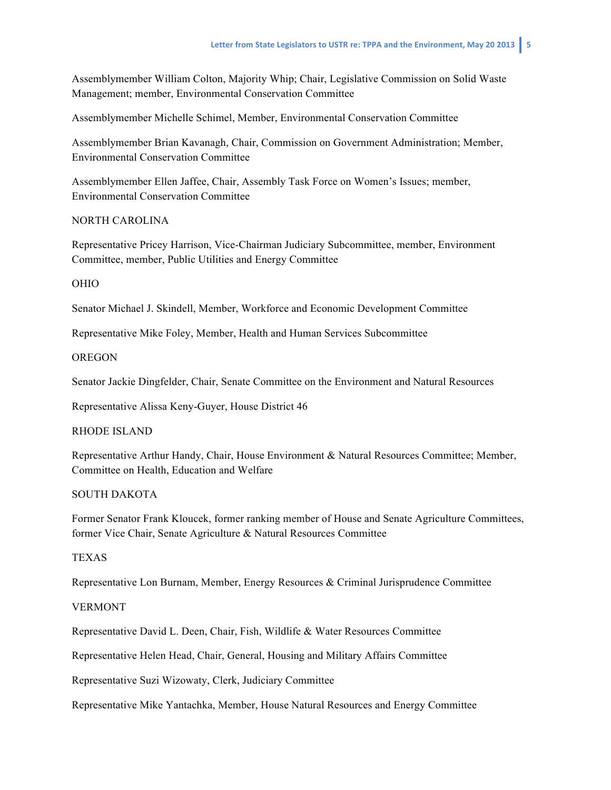Assemblymember William Colton, Majority Whip; Chair, Legislative Commission on Solid Waste Management; member, Environmental Conservation Committee

Assemblymember Michelle Schimel, Member, Environmental Conservation Committee

Assemblymember Brian Kavanagh, Chair, Commission on Government Administration; Member, Environmental Conservation Committee

Assemblymember Ellen Jaffee, Chair, Assembly Task Force on Women's Issues; member, Environmental Conservation Committee

# NORTH CAROLINA

Representative Pricey Harrison, Vice-Chairman Judiciary Subcommittee, member, Environment Committee, member, Public Utilities and Energy Committee

# OHIO

Senator Michael J. Skindell, Member, Workforce and Economic Development Committee

Representative Mike Foley, Member, Health and Human Services Subcommittee

### **OREGON**

Senator Jackie Dingfelder, Chair, Senate Committee on the Environment and Natural Resources

Representative Alissa Keny-Guyer, House District 46

# RHODE ISLAND

Representative Arthur Handy, Chair, House Environment & Natural Resources Committee; Member, Committee on Health, Education and Welfare

# SOUTH DAKOTA

Former Senator Frank Kloucek, former ranking member of House and Senate Agriculture Committees, former Vice Chair, Senate Agriculture & Natural Resources Committee

### TEXAS

Representative Lon Burnam, Member, Energy Resources & Criminal Jurisprudence Committee

# VERMONT

Representative David L. Deen, Chair, Fish, Wildlife & Water Resources Committee

Representative Helen Head, Chair, General, Housing and Military Affairs Committee

Representative Suzi Wizowaty, Clerk, Judiciary Committee

Representative Mike Yantachka, Member, House Natural Resources and Energy Committee